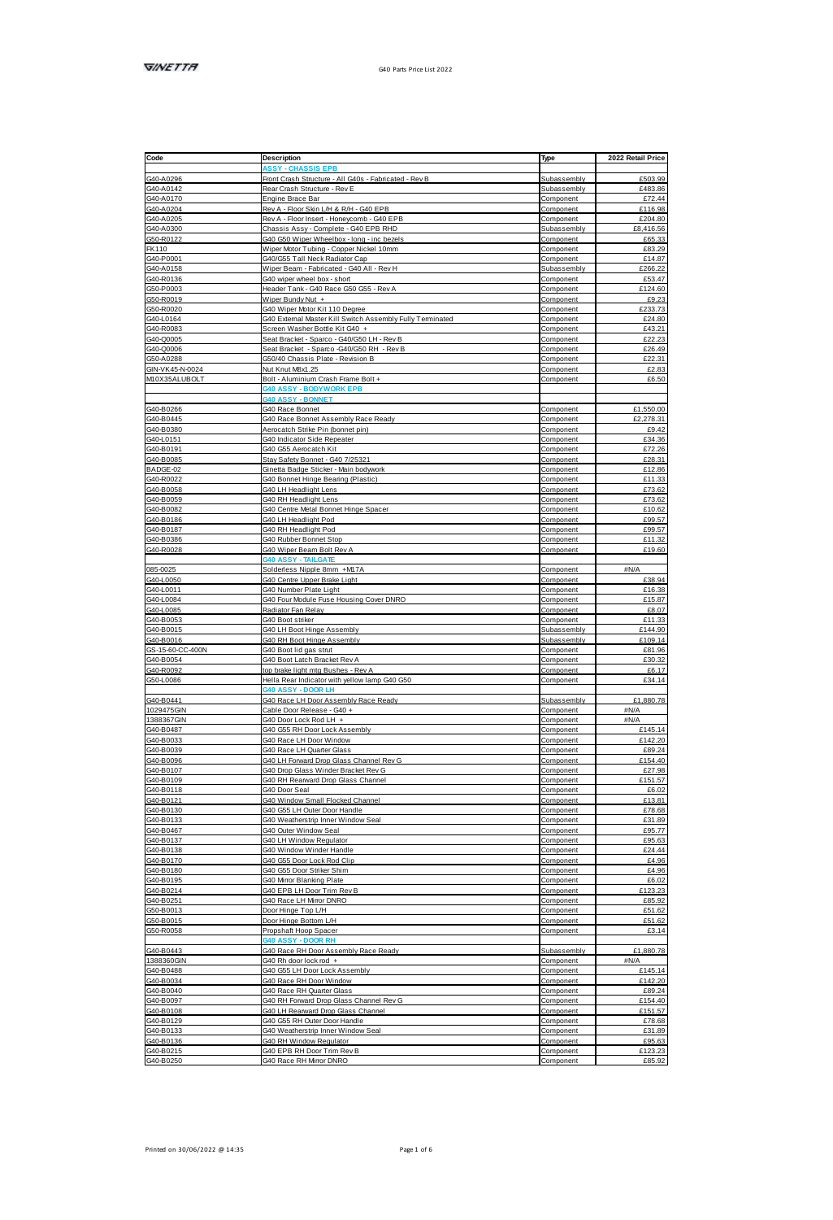| Code                                                                                                | Description                                               | Type                   | 2022 Retail Price |
|-----------------------------------------------------------------------------------------------------|-----------------------------------------------------------|------------------------|-------------------|
|                                                                                                     |                                                           |                        |                   |
| G40-A0298                                                                                           | Front Crash Structure - All G40s - Fabricated - Rev B     | Subassembly            | £503.99           |
| G40-A0248<br>G40-A0142<br>G40-A0204<br>G40-A0205<br>G40-A0205<br>G50-R0122                          | Rear Crash Structure - Rev E                              | Subassembly            | £483.86           |
|                                                                                                     | Engine Brace Bar                                          | Component              | F72 44            |
|                                                                                                     | Rev A - Floor Skin L/H & R/H - G40 EPB                    | Component              | £116.98           |
|                                                                                                     | Rev A - Floor Insert - Honeycomb - G40 EPB                | Component              | £204.80           |
|                                                                                                     | Chassis Assy - Complete - G40 EPB RHD                     | Subassembly            | FR 416 56         |
|                                                                                                     | G40 G50 Wiper Wheelbox - long - inc bezels                | Component              | £65.33            |
| GS0-R0122<br>FK110<br>G40-P0001<br>G40-A0158                                                        | Wiper Motor Tubing - Copper Nickel 10mm                   | Component              | £83.29            |
|                                                                                                     | G40/G55 Tall Neck Radiator Cap                            | Component              | £14.87            |
|                                                                                                     | Wiper Beam - Fabricated - G40 All - Rev H                 | Subassembly            | F2RR 22           |
|                                                                                                     | G40 wiper wheel box - short                               | Component              | £53.47            |
| G50-P0003                                                                                           | Header Tank - G40 Race G50 G55 - Rev A                    | Component              | £124.60           |
|                                                                                                     | Wiper Bundy Nut +                                         | Component              | £9.23             |
| G50-P0003<br>G50-R0019<br>G50-R0020<br>G40-R0083<br>G40-Q0005<br>G40-Q0005                          | G40 Wiper Motor Kit 110 Degree                            | Component              | 6233.73           |
|                                                                                                     | G40 External Master Kill Switch Assembly Fully Terminated | Component              | £24.80            |
|                                                                                                     | Screen Washer Bottle Kit G40 +                            | Component              | £43.21            |
|                                                                                                     | Seat Bracket - Sparco - G40/G50 LH - Rev B                | Component              | £22.23            |
|                                                                                                     | Seat Bracket - Sparco -G40/G50 RH - Rev B                 | Component              | £26.49            |
| G50-A0288<br>GIN-VK45-N-0024<br>M10X35ALUBOLT                                                       | G50/40 Chassis Plate - Revision B                         | Component              | £22.31            |
|                                                                                                     | Nut Knut MBx1.25                                          | Component              | £2.83             |
|                                                                                                     | Bolt - Aluminium Crash Frame Bolt +                       | Component              | £6.50             |
|                                                                                                     | BODYWC                                                    |                        |                   |
|                                                                                                     | 0 ASSY - RONE                                             |                        |                   |
|                                                                                                     | G40 Rone Bonnet                                           | Component              | £1,550.00         |
|                                                                                                     | G40 Race Bonnet Assembly Race Ready                       | Component              | £2.278.31         |
| G40-B0266<br>G40-B0445<br>G40-B0380<br>G40-L0151<br>G40-B0191                                       | Aerocatch Strike Pin (bonnet pin)                         | Component              | £9.42             |
|                                                                                                     | G40 Indicator Side Repeater                               | Component              | £34.36            |
|                                                                                                     |                                                           |                        | £72.26            |
| G40-B0085                                                                                           | G40 G55 Aerocatch Kit<br>Stay Safety Bonnet - G40 7/25321 | Component<br>Component | £28.31            |
|                                                                                                     | Ginetta Badge Sticker - Main bodywork                     |                        | <b>£12.86</b>     |
| G40-80085<br>BADGE-02<br>G40-R0022<br>G40-80059<br>G40-80186<br>G40-80186<br>G40-80186<br>G40-80186 |                                                           | Component              | £11.33            |
|                                                                                                     | G40 Bonnet Hinge Bearing (Plastic)                        | Component              |                   |
|                                                                                                     | G40 LH Headlight Lens                                     | Component<br>Component | £73.62<br>£73.62  |
|                                                                                                     | G40 RH Headlight Lens                                     |                        | £10.62            |
|                                                                                                     | G40 Centre Metal Bonnet Hinge Spacer                      | Component              | F99.57            |
|                                                                                                     | G40 LH Headlight Pod                                      | Component              |                   |
|                                                                                                     | G40 RH Headlight Pod                                      | Component              | £99.57            |
|                                                                                                     | G40 Rubber Bonnet Stop                                    | Component              | £11.32            |
| G40-R0028                                                                                           | G40 Wiper Beam Bolt Rev A                                 | Component              | £19.60            |
|                                                                                                     | MA ASSY - TAILOAT                                         |                        |                   |
| 085-0025                                                                                            | Solderless Nigole 8mm +M17A                               | Component              | <b>AN/A</b>       |
|                                                                                                     | G40 Centre Upper Brake Light                              | Component              | £38.94            |
|                                                                                                     | G40 Number Plate Light                                    | Component              | F16.38            |
|                                                                                                     | G40 Four Module Fuse Housing Cover DNRO                   | Component              | £15.87            |
| 085-0025<br>G40-L0050<br>G40-L0084<br>G40-L0085<br>G40-B0053<br>G40-B0053                           | Radiator Fan Relay                                        | Component              | £8.07             |
|                                                                                                     | G40 Root striker                                          | Component              | £11.33            |
|                                                                                                     | G40 LH Boot Hinge Assembly                                | Subassembly            | £144.90           |
| G40-80015<br>G40-80016<br>G5-15-60-CC-400N<br>G40-R0092<br>G50-L0086                                | G40 RH Boot Hinge Assembly                                | Subassembly            | £109.14           |
|                                                                                                     | G40 Boot lid gas strut                                    | Component              | £81.96            |
|                                                                                                     | G40 Boot Latch Bracket Rev A                              | Component              | 630.32            |
|                                                                                                     | top brake light mtg Bushes - Rev A                        | Component              | £6.17             |
|                                                                                                     | Hella Rear Indicator with yellow lamp G40 G50             | Component              | £34.14            |
|                                                                                                     | 0 ASSY - DOOR LH                                          |                        |                   |
|                                                                                                     | G40 Race LH Door Assembly Race Ready                      | Subassembly            | £1,880.78         |
| G40-B0441<br>1029475GIN<br>1388367GIN<br>G40-B0033                                                  | Cable Door Release - G40 +                                | Component              | aN/A              |
|                                                                                                     | G40 Door Lock Rod LH +                                    | Component              | 494/A             |
|                                                                                                     | G40 G55 RH Door Lock Assembly                             | Component              | 6145.14           |
|                                                                                                     | G40 Race LH Door Window                                   | Component              | £142.20           |
|                                                                                                     | G40 Race LH Quarter Glass                                 | Component              | £89.24            |
|                                                                                                     | G40 LH Forward Drop Glass Channel Rev G                   | Component              | £154.40           |
|                                                                                                     | G40 Drop Glass Winder Bracket Rev G                       | Component              | £27.98            |
| G40-80039<br>G40-80098<br>G40-80107<br>G40-80109                                                    | G40 RH Rearward Drop Glass Channel                        | Component              | £151.57           |
|                                                                                                     | G40 Door Seal                                             | Component              | £6.02             |
|                                                                                                     | G40 Window Small Flocked Channel                          | Component              | <b>£13.81</b>     |
|                                                                                                     | G40 G55 LH Quter Door Handle                              | Component              | £78.68            |
|                                                                                                     | G40 Weatherstrip Inner Window Seal                        | Component              | £31.89            |
|                                                                                                     | G40 Outer Window Seal                                     | Component              | 695.77            |
| G40-B0109<br>G40-B0121<br>G40-B0130<br>G40-B0133<br>G40-B0137                                       | G40 LH Window Regulator                                   | Component              | £95.63            |
| G40-B0137<br>G40-B0138<br>G40-B0170<br>G40-B0180<br>G40-B0195                                       | G40 Window Winder Handle                                  | Component              | £24.44            |
|                                                                                                     | G40 G55 Door Lock Rod Clip                                | Component              | £4.96             |
|                                                                                                     | G40 G55 Door Striker Shim                                 | Component              | £4.96             |
|                                                                                                     | G40 Mirror Blanking Plate                                 | Component              | £6.02             |
|                                                                                                     | 340 EPB LH Door Trim Rev B                                | Component              | £123.23           |
| G40-B0214<br>G40-B0251<br>G50-B0013<br>G50-B0015                                                    | G40 Race LH Mimor DNRO                                    | Component              | £85.92            |
|                                                                                                     | Door Hinge Top L/H                                        | Component              | <b>F51 62</b>     |
|                                                                                                     | Door Hinge Bottom L/H                                     | Component              | £51.62            |
|                                                                                                     | Propshaft Hoop Spacer                                     | Component              | £3.14             |
|                                                                                                     | <b>HR ROOD - YRRA 0M</b>                                  |                        |                   |
| G40-B0443<br>1388360GIN                                                                             | G40 Race RH Door Assembly Race Ready                      | Subassembly            | £1,880.78         |
|                                                                                                     | G40 Rh door lock rod +                                    | Component              | aN/A              |
|                                                                                                     | G40 G55 LH Door Lock Assembly                             | Component              | £145.14           |
|                                                                                                     | G40 Race RH Door Window                                   | Component              | £142.20           |
| 138838008<br>G40-B0488<br>G40-B0040                                                                 | G40 Race RH Quarter Glass                                 | Component              | £89.24            |
|                                                                                                     | G40 RH Forward Drop Glass Channel Rev G                   | Component              | £154.40           |
|                                                                                                     | G40 LH Rearward Drop Glass Channel                        | Component              | 6151.57           |
| G40-B0097<br>G40-B0097<br>G40-B0129                                                                 | G40 G55 RH Outer Door Handle                              | Component              | F7R F.R.          |
|                                                                                                     | G40 Weatherstrip Inner Window Seal                        | Component              | £31.89            |
|                                                                                                     | G40 RH Window Regulator                                   | Component              | £95.63            |
|                                                                                                     | G40 EPB RH Door Trim Rev B                                | Component              | £123.23           |
| G40-80133<br>G40-80138<br>G40-80215<br>G40-80250                                                    | G40 Race RH Mmor DNRO                                     | Component              | £85.92            |
|                                                                                                     |                                                           |                        |                   |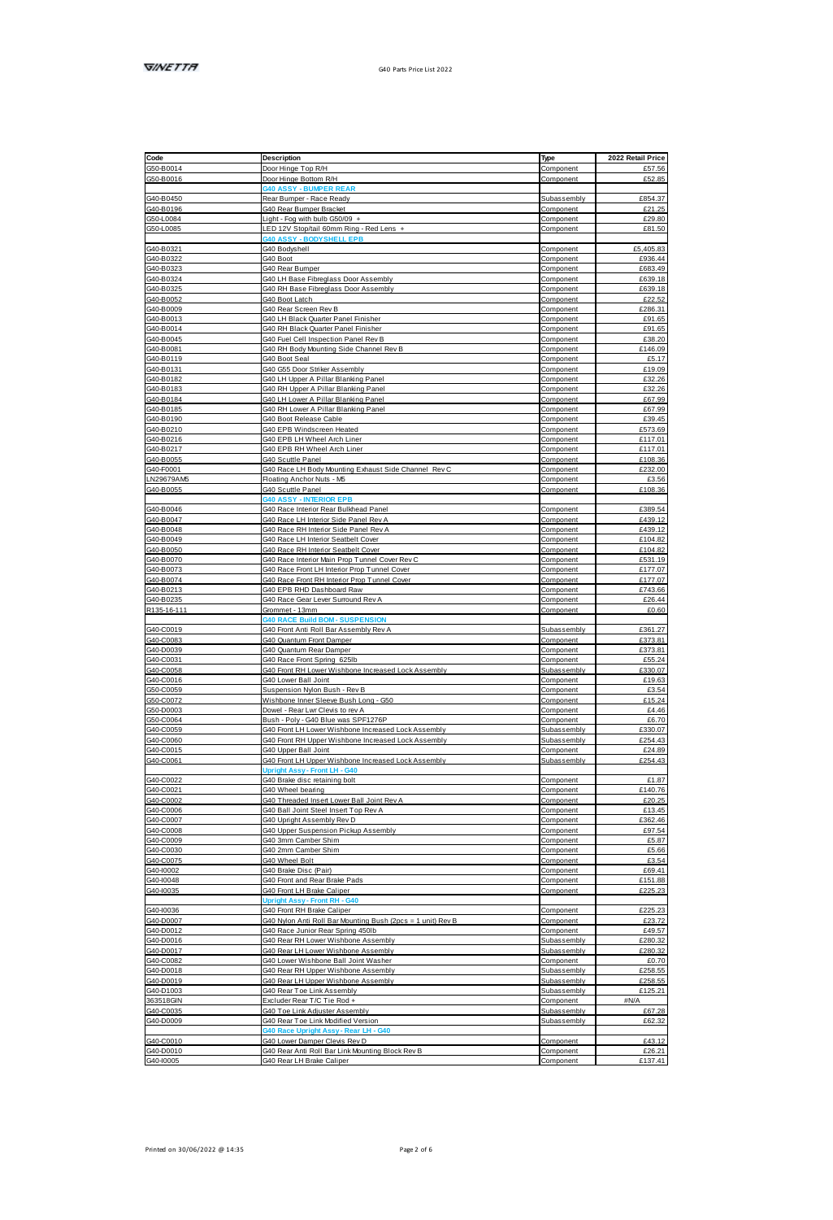| Code                                | Description                                                                        | Type                     | 2022 Retail Price  |
|-------------------------------------|------------------------------------------------------------------------------------|--------------------------|--------------------|
| G50-B0014                           | Door Hinge Top R/H                                                                 | Component                | <b>F57 58</b>      |
| G50-B0016                           | Door Hinge Bottom R/H                                                              | Component                | £52.85             |
|                                     |                                                                                    |                          |                    |
| G40-B0450                           | Rear Bumper - Race Ready                                                           | Subassembly              | £854.37            |
|                                     | G40 Rear Bumper Bracket                                                            | Component                | £21.25             |
| G40-B0196<br>G50-L0084<br>G50-L0085 | Light - Fog with bulb G50/09 -                                                     | Component<br>Component   | £29.80<br>£81.50   |
|                                     | LED 12V Stop/tail 60mm Ring - Red Lens +<br><b>140 ASSY - BODYSHELL EPB</b>        |                          |                    |
|                                     | G40 Bodyshell                                                                      | Component                | £5,405.83          |
| G40-B0321<br>G40-B0322<br>G40-B0323 | G40 Boot                                                                           | Component                | £936.44            |
|                                     | G40 Rear Rumner                                                                    | Component                | F683.49            |
| G40-B0324                           | G40 LH Base Fibreglass Door Assembly                                               | Component                | FR39 18            |
| G40-B0325                           | G40 RH Base Fibreglass Door Assembly                                               | Component                | F639 18            |
| G40-B0052                           | G40 Boot Latch                                                                     | Component                | £22.52             |
| G40-B0009                           | G40 Rear Screen Rev B                                                              | Component                | £286.31            |
|                                     | G40 LH Black Quarter Panel Finisher                                                | Component                | £91.65             |
| G40-B0013<br>G40-B0014              | G40 RH Black Quarter Panel Finish                                                  | Component                | £91.65             |
| G40-B0045                           | G40 Fuel Cell Inspection Panel Rev B                                               | Component                | £38.20             |
| G40-B0081                           | G40 RH Body Mounting Side Channel Rev B                                            | Component                | £146.09            |
| G40-B0119                           | G40 Boot Seal                                                                      | Component                | £5.17              |
| G40-B0131                           | G40 G55 Door Striker Assembly                                                      | Component                | £19.09             |
| G40-B0182                           | G40 LH Upper A Pillar Blanking Panel                                               | Component                | £32.26             |
| G40-B0183                           | G40 RH Upper A Pillar Blanking Panel                                               | Component                | £32.26             |
| G40-B0184                           | G40 LH Lower A Pillar Blanking Panel                                               | Component                | £67.99             |
| G40-B0185                           | G40 RH Lower A Pillar Blanking Panel                                               | Component                | £67.99             |
| G40-B0190                           | G40 Boot Release Cable                                                             | Component                | £39.45             |
| G40-B0210                           | G40 EPB Windscreen Heated                                                          | Component                | £573.69            |
| G40-B0216                           | 340 EPB LH Wheel Arch Liner                                                        | Component                | £117.01            |
| G40-R0217                           | G40 FPR RH Wheel Arch Liner                                                        | Component                | £117.01            |
| G40-B0055                           | G40 Scuttle Panel                                                                  | Component                | £108.36            |
| G40-F0001<br>LN29679AM5             | G40 Race LH Body Mounting Exhaust Side Channel Rey C                               | Component                | £232.00            |
|                                     | Floating Anchor Nuts - MS                                                          | Component                | £3.56              |
| G40-B0055                           | G40 Scuttle Panel                                                                  | Component                | £108.36            |
|                                     | - INTERIOR EPE                                                                     |                          |                    |
| G40-B0046<br>G40-B0047              | G40 Race Interior Rear Bulkhead Panel                                              | Component                | £389.54            |
|                                     | G40 Roce   H Interior Side Panel Rev &                                             | Component                | 6499.12            |
| G40-B0048                           | G40 Race RH Interior Side Panel Rev A                                              | Component                | £439.12            |
| G40-B0049                           | G40 Race LH Interior Seatbelt Cover                                                | Component                | £104.82            |
| G40-B0050                           | G40 Race RH Interior Seatbelt Cover                                                | Component                | £104.82            |
| G40-B0070                           | G40 Race Interior Main Prop Tunnel Cover Rev C                                     | Component                | £531.19            |
| G40-B0073                           | G40 Race Front LH Interior Prop Tunnel Cover                                       | Component                | £177.07            |
| G40-B0074<br>G40-B0213              | G40 Race Front RH Interior Prop Tunnel Cover                                       | Component                | £177.07            |
|                                     | G40 FPR RHD Dashboart Raw                                                          | Component                | <b>£743 66</b>     |
| G40-B0235                           | G40 Race Gear Lever Sunound Rev A                                                  | Component                | £26.44<br>£0.60    |
| R135-16-111                         | Grommet - 13mm<br><b>40 RACE Build ROM - SUSPEN</b>                                | Component                |                    |
|                                     |                                                                                    | Subassembly              |                    |
| G40-C0019<br>G40-C0083<br>G40-D0039 | G40 Front Anti Roll Bar Assembly Rev A                                             |                          | £361.27            |
|                                     | G40 Quantum Front Damper<br>G40 Quantum Rear Damper                                | Component<br>Component   | £373.81<br>£373.81 |
|                                     |                                                                                    |                          | £55.24             |
| G40-C0031<br>G40-C0058              | G40 Race Front Spring 625lb<br>G40 Front RH Lower Wishbone Increased Lock Assembly | Component<br>Subassembly | £330.07            |
|                                     | G40 Lower Ball Joint                                                               | Component                | £19.63             |
| G40-C0016<br>G50-C0016<br>G50-C0072 | Suspension Nylon Bush - Rev B                                                      | Component                | 63.54              |
|                                     | Wishbone Inner Sleeve Bush Long - G50                                              | Component                | £15.24             |
| G50-D0003                           | Dowel - Rear Lwr Clevis to rev A                                                   | Component                | £4.46              |
| GS0.C0064                           | Bush - Poly - G40 Blue was SPF1276P                                                | Component                | <b>66.70</b>       |
| G40-C0059                           | G40 Front LH Lower Wishbone Increased Lock Assembly                                | Subassembly              | £330.07            |
| G40-C0060                           | G40 Front RH Upper Wishbone Increased Lock Assembly                                | Subassembly              | £254.43            |
|                                     | G40 Upper Ball Joint                                                               | Component                | £24.89             |
| G40-C0015<br>G40-C0061              | G40 Front LH Upper Wishbone Increased Lock Assembly                                | Subassembly              | £254.43            |
|                                     | Upright Assy - Front LH - G40                                                      |                          |                    |
| G40-C0022<br>G40-C0021              | G40 Brake disc retaining bolt                                                      | Component                | £1.87              |
|                                     | G40 Wheel bearing                                                                  | Component                | £140.76            |
| G40-C0002                           | G40 Threaded Insert Lower Ball Joint Rev A                                         | Component                | £20.25             |
| G40-C0006                           | G40 Ball Joint Steel Insert Top Rev A                                              | Component                | £13.45             |
| G40-C0007                           | G40 Upright Assembly Rey D                                                         | Component                | £382.46            |
| G40-C0008                           | G40 Upper Suspension Pickup Assembly                                               | Component                | £97.54             |
| G40-C0009                           | G40 3mm Camber Shim                                                                | Component                | £5.87              |
| G40-C0030                           | G40 2mm Camber Shim                                                                | Component                | £5.66              |
| G40-C0075                           | G40 Wheel Bolt                                                                     | Component                | 63.54              |
| G40-10002                           | G40 Brake Disc (Pair)                                                              | Component                | £69.41             |
| G40-I0048                           | G40 Front and Rear Brake Pads                                                      | Component                | £151.88            |
| G40-10035                           | G40 Front LH Brake Caliper                                                         | Component                | £225.23            |
|                                     | Upright Assy - Front RH - G40                                                      |                          |                    |
| G40-I0036                           | G40 Front RH Brake Caliper                                                         | Component                | £225.23            |
| G40-D0007<br>G40-D0012              | G40 Nylon Anti Roll Bar Mounting Bush (2pcs = 1 unit) Rev B                        | Component                | £23.72<br>£49.57   |
|                                     | G40 Race Junior Rear Spring 450lb<br>G40 Rear RH Lower Wishbone Assembly           | Component<br>Subassembly | £280.32            |
| G40-D0016<br>G40-D0017              |                                                                                    | Subassembly              | £280.32            |
| G40-C0082                           | G40 Rear LH Lower Wishbone Assembly<br>G40 Lower Wishbone Ball Joint Washer        |                          | 60.70              |
| G40-D0018                           | G40 Rear RH Upper Wishbone Assembly                                                | Component<br>Subassembly | £258.55            |
| G40-D0019                           | G40 Rear LH Upper Wishbone Assembly                                                | Subassembly              | £258.55            |
| G40-D1003                           | G40 Rear Toe Link Assembly                                                         | Subassembly              | £125.21            |
| 363518GIN                           | Excluder Rear T/C Tie Rod +                                                        | Component                | <b>AN/A</b>        |
|                                     | G40 Toe Link Adjuster Assembly                                                     | Subassembly              | £67.28             |
| G40-C0035<br>G40-D0009              | G40 Rear Toe Link Modified Version                                                 | Subassembly              | £62.32             |
|                                     | ht Assy - Re                                                                       |                          |                    |
| G40-C0010                           | G40 Lower Damper Clevis Rev D                                                      | Component                | 643.12             |
| G40-D0010                           | G40 Rear Anti Roll Bar Link Mounting Block Rev B                                   | Component                | £26.21             |
| G40-I0005                           | G40 Rear LH Brake Caliper                                                          | Component                | £137.41            |
|                                     |                                                                                    |                          |                    |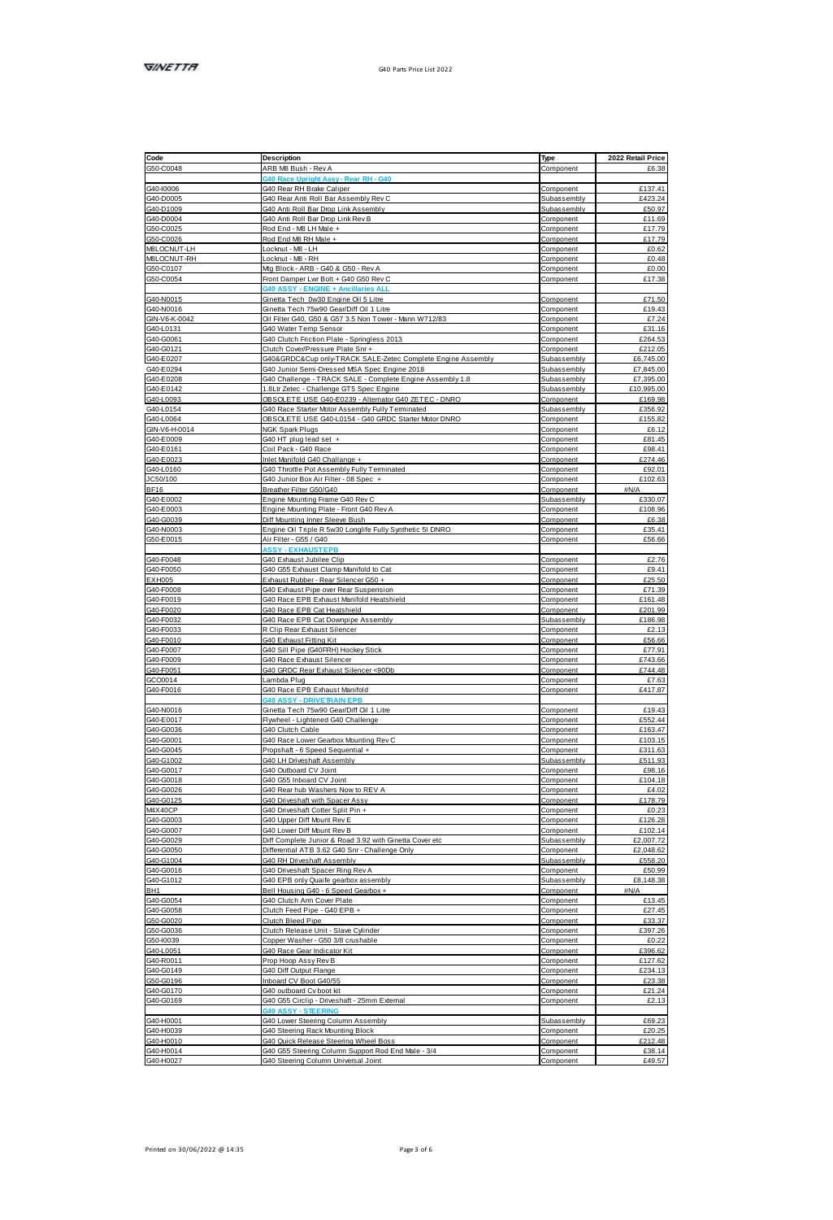| Code                                                                                                                                     | Description                                                                                              | Type                     | 2022 Retail Price         |
|------------------------------------------------------------------------------------------------------------------------------------------|----------------------------------------------------------------------------------------------------------|--------------------------|---------------------------|
| G50-C0048                                                                                                                                | ARB MB Bush - Rev A                                                                                      | Component                | £6.38                     |
|                                                                                                                                          | 40 Race Upright Assy - Rear RH - G40                                                                     |                          |                           |
| 040-0006<br>040-00005<br>040-00004<br>050-00025<br>050-00026<br>MRLOCNUTT-IN                                                             | G40 Rear RH Brake Caliper                                                                                | Component                | £137.41                   |
|                                                                                                                                          | G40 Rear Anti Roll Bar Assembly Rey C                                                                    | Subassembly              | 6423.24                   |
|                                                                                                                                          | G40 Anti Roll Bar Drop Link Assembly                                                                     | Subassembly              | £50.97                    |
|                                                                                                                                          | G40 Anti Roll Bar Drop Link Rev B                                                                        | Component                | £11.69                    |
|                                                                                                                                          | Rod Fod - MR I H Male +                                                                                  | Component                | £17.79                    |
|                                                                                                                                          | Rod End M8 RH Male +                                                                                     | Component                | 617.79                    |
| MBLOCNUT-RH                                                                                                                              | ocknut - MB - LH<br>Locknut - MB - RH                                                                    | Component<br>Component   | £0.62<br>£0.48            |
|                                                                                                                                          | Mg Block - ARB - G40 & G50 - Rev A                                                                       | Component                | 60.00                     |
| G50-C0107<br>G50-C0107                                                                                                                   | Front Damper Lwr Bolt + G40 G50 Rev C                                                                    | Component                | £17.38                    |
|                                                                                                                                          | NE +                                                                                                     |                          |                           |
| 640-N0015<br>640-N0016<br>6IN-V6-K-0042<br>640-60061<br>640-60121                                                                        | Ginetta Tech 0w30 Engine Oil 5 Litre                                                                     | Component                | £71.50                    |
|                                                                                                                                          | Ginetta Tech 75w90 GeorDiff Oil 1 Litte                                                                  | Component                | 619.43                    |
|                                                                                                                                          | Oil Filter G40, G50 & G57 3.5 Non Tower - Mann W712/83                                                   | Component                | £7.24                     |
|                                                                                                                                          | G40 Water Temp Sensor                                                                                    | Component                | £31.16                    |
|                                                                                                                                          | G40 Clutch Friction Plate - Springless 2013                                                              | Component                | £264.53                   |
|                                                                                                                                          | Clutch CoverPressure Plate Snr+                                                                          | Component                | £212.05                   |
| G40-E0207                                                                                                                                | G40&GRDC⋓ only-TRACK SALE-Zatec Complete Engine Assembly                                                 | Subassembly              | £6,745.00                 |
| G40-E0294                                                                                                                                | G40 Junior Semi-Dressed MSA Spec Engine 2018                                                             | Subassembly              | £7,845.00                 |
| G40-E0208                                                                                                                                | G40 Challenge - TRACK SALE - Complete Engine Assembly 1.8                                                | Subassembly              | £7,395.00                 |
| G40-E0142                                                                                                                                | 1.8Lt/ Zetec - Challenge GT5 Spec Engine<br>OBSOLETE USE G40-E0239 - Alternator G40 ZETEC - DNRO         | Subassembly              | £10,995.00                |
| G40-L0093                                                                                                                                |                                                                                                          | Component<br>Subassembly | £169.98<br><b>F358.92</b> |
|                                                                                                                                          | G40 Race Starter Motor Assembly Fully Terminated<br>OBSOLETE USE G40-L0154 - G40 GRDC Starter Motor DNRO | Component                | <b>£155.82</b>            |
|                                                                                                                                          | NGK Spark Plugs                                                                                          | Component                | £6.12                     |
|                                                                                                                                          | G40 HT plug lead set +                                                                                   | Component                | £81.45                    |
|                                                                                                                                          | Coil Pack - G40 Race                                                                                     | Component                | £98.41                    |
|                                                                                                                                          | Inlet Manifold G40 Challange +                                                                           | Component                | £274.46                   |
| 04010088<br>04010084<br>0M-V6H-0014<br>0M-V6H-0014<br>040-E0161<br>040-E0123<br>040-E0123<br>0C50/100<br>RE16<br>RE16                    | G40 Throttle Pot Assembly Fully Terminated                                                               | Component                | £92.01                    |
|                                                                                                                                          | G40 Junior Box Air Filter - 08 Spec +                                                                    | Component                | £102.63                   |
|                                                                                                                                          | Breather Filter G50/G40                                                                                  | Component                | aN/A                      |
| 3C807100<br>BF16<br>G40-E0003<br>G40-60039<br>G40-M0003<br>G50-E0015                                                                     | Engine Mounting Frame G40 Rev C                                                                          | Subassembl <sup>®</sup>  | £330.07                   |
|                                                                                                                                          | Engine Mounting Plate - Front G40 Rev A                                                                  | Component                | <b>£108.96</b>            |
|                                                                                                                                          | Diff Mounting Inner Sleeve Bush                                                                          | Component                | <b>PR 38</b>              |
|                                                                                                                                          | Engine Oil Triple R 5w30 Longlife Fully Synthetic 5I DNRC                                                | Component                | £35.41                    |
|                                                                                                                                          | Air Filter - G55 / G40                                                                                   | Component                | £56.66                    |
|                                                                                                                                          | <b>SSSY - FXHAUSTEI</b>                                                                                  |                          |                           |
| G40-F0048<br>G40-F0050                                                                                                                   | G40 Exhaust Jubilee Clip<br>G40 G55 Exhaust Clamp Manifold to Cat                                        | Component<br>Component   | £2.76<br>£9.41            |
|                                                                                                                                          | Exhaust Rubber - Rear Silencer G50 +                                                                     | Component                | £25.50                    |
|                                                                                                                                          | G40 Exhaust Pipe over Rear Suspension                                                                    | Component                | #71.39                    |
|                                                                                                                                          | G40 Race EPB Exhaust Manifold Heatshield                                                                 | Component                | £161.48                   |
| EXH005<br>G40-F0008<br>G40-F0019<br>G40-F0020<br>G40-F0033<br>G40-F0007<br>G40-F0007<br>G40-F0007<br>G40-F0008<br>G40-F0008<br>G40-F0008 | G40 Race EPB Cat Heatshield                                                                              | Component                | £201.99                   |
|                                                                                                                                          | G40 Race EPB Cat Downpipe Assembly                                                                       | Subassembly              | £186.98                   |
|                                                                                                                                          | R Clip Rear Exhaust Silencer                                                                             | Component                | 62.13                     |
|                                                                                                                                          | G40 Exhaust Fitting Kit                                                                                  | Component                | £56.66                    |
|                                                                                                                                          | G40 Sill Pipe (G40FRH) Hockey Stick                                                                      | Component                | £77.91                    |
|                                                                                                                                          | G40 Race Exhaust Silencer                                                                                | Component                | <b>£743 66</b>            |
|                                                                                                                                          | G40 GRDC Rear Exhaust Silencer <90Db                                                                     | Component                | £744.48                   |
|                                                                                                                                          | Lambda Plug                                                                                              | Component                | £7.63                     |
|                                                                                                                                          | G40 Race EPB Exhaust Manifold<br><b>MO ASSY - DRIVETRAIN FPR</b>                                         | Component                | £417.87                   |
| G40-N0016<br>G40-R0017<br>G40-G0008<br>G40-G0001                                                                                         | Ginetta Tech 75w90 Gear/Diff Oil 1 Litre                                                                 | Component                | £19.43                    |
|                                                                                                                                          | Rwheel - Linhtened G40 Challenne                                                                         | Component                | <b>FSS2 44</b>            |
|                                                                                                                                          | G40 Clutch Cable                                                                                         | Component                | <b>F183.47</b>            |
|                                                                                                                                          | G40 Race Lower Gearbox Mounting Rev C                                                                    | Component                | 610315                    |
| G40-G0045<br>G40-G1002<br>G40-G0017                                                                                                      | Procehaft - 6 Speed Sequential +                                                                         | Component                | £311.63                   |
|                                                                                                                                          | G40 LH Driveshaft Assembly                                                                               | Subassembly              | £511.93                   |
|                                                                                                                                          | G40 Outboard CV Joint                                                                                    | Component                | £98.16                    |
|                                                                                                                                          | G40 G55 Inboard CV Joint                                                                                 | Component                | £104.18                   |
|                                                                                                                                          | G40 Rear hub Washers Now to REV A                                                                        | Component                | £4.02                     |
|                                                                                                                                          | G40 Driveshaft with Spacer Assy                                                                          | Component                | £178.79                   |
| G40-G0026<br>G40-G0026<br>MAX40CP                                                                                                        | G40 Driveshaft Cotter Split Pin +                                                                        | Component                | £0.23                     |
| 8446CP<br>G40-G0003<br>G40-G0029                                                                                                         | G40 Upper Diff Mount Rev E                                                                               | Component                | £126.28                   |
|                                                                                                                                          | G40 Lower Diff Mount Rev R                                                                               | Component                | £102.14                   |
|                                                                                                                                          | Diff Complete Junior & Road 3.92 with Ginetta Cover etc.                                                 | Subassembly<br>Component | £2,007.72<br>£2.048.62    |
| G40-G0050                                                                                                                                | Differential ATB 3.62 G40 Snr - Challenge Only<br>G40 RH Driveshaft Assembly                             | Subassembly              | £558.20                   |
|                                                                                                                                          | G40 Driveshaft Spacer Ring Rev A                                                                         | Component                | <b>FSD 99</b>             |
|                                                                                                                                          | G40 EPB only Quaife gearbox assembly                                                                     | Subassembly              | £8,148.38                 |
|                                                                                                                                          | Bell Housing G40 - 6 Speed Gearbox +                                                                     | Component                | <b>AN/A</b>               |
| 040-00050<br>040-00016<br>040-00016<br>040-00054<br>040-00058<br>050-00036<br>050-00036<br>050-00036                                     | G40 Clutch Arm Cover Plate                                                                               | Component                | £13.45                    |
|                                                                                                                                          | Clutch Feed Pipe - G40 EPB +                                                                             | Component                | £27.45                    |
|                                                                                                                                          | Clutch Bleed Pipe                                                                                        | Component                | £33.37                    |
|                                                                                                                                          | Clutch Release Unit - Slave Cylinder                                                                     | Component                | £397.26                   |
| G50-10039<br>G50-10039<br>G40-R0011                                                                                                      | Copper Washer - G50 3/8 crushable                                                                        | Component                | 60.22                     |
|                                                                                                                                          | G40 Race Gear Indicator Kit                                                                              | Component                | £396.62                   |
|                                                                                                                                          | Prop Hoop Assy Rev B                                                                                     | Component                | £127.62                   |
| G40-R0011<br>G40-G0149<br>G50-G0196                                                                                                      | <b>G40 Diff Output Flange</b>                                                                            | Component                | £234.13                   |
|                                                                                                                                          | Inboard CV Boot G40/55                                                                                   | Component                | £23.38                    |
|                                                                                                                                          | G40 outboard Cy boot kit                                                                                 | Component                | £21.24                    |
| G40-G0169                                                                                                                                | G40 G55 Circlip - Driveshaft - 25mm External<br><b>40 ASSY - STEER</b>                                   | Component                | £2.13                     |
|                                                                                                                                          | G40 Lower Steering Column Assembly                                                                       | Subassembly              | FR9 23                    |
|                                                                                                                                          | G40 Steering Rack Mounting Block                                                                         | Component                | £20.25                    |
|                                                                                                                                          | G40 Quick Release Steering Wheel Boss                                                                    | Component                | £212.48                   |
| G40-H0001<br>G40-H0039<br>G40-H0014<br>G40-H0014<br>G40-H0027                                                                            | G40 G55 Steering Column Support Rod End Male - 3/4                                                       | Component                | £38.14                    |
|                                                                                                                                          | G40 Steering Column Universal Joint                                                                      | Component                | £49.57                    |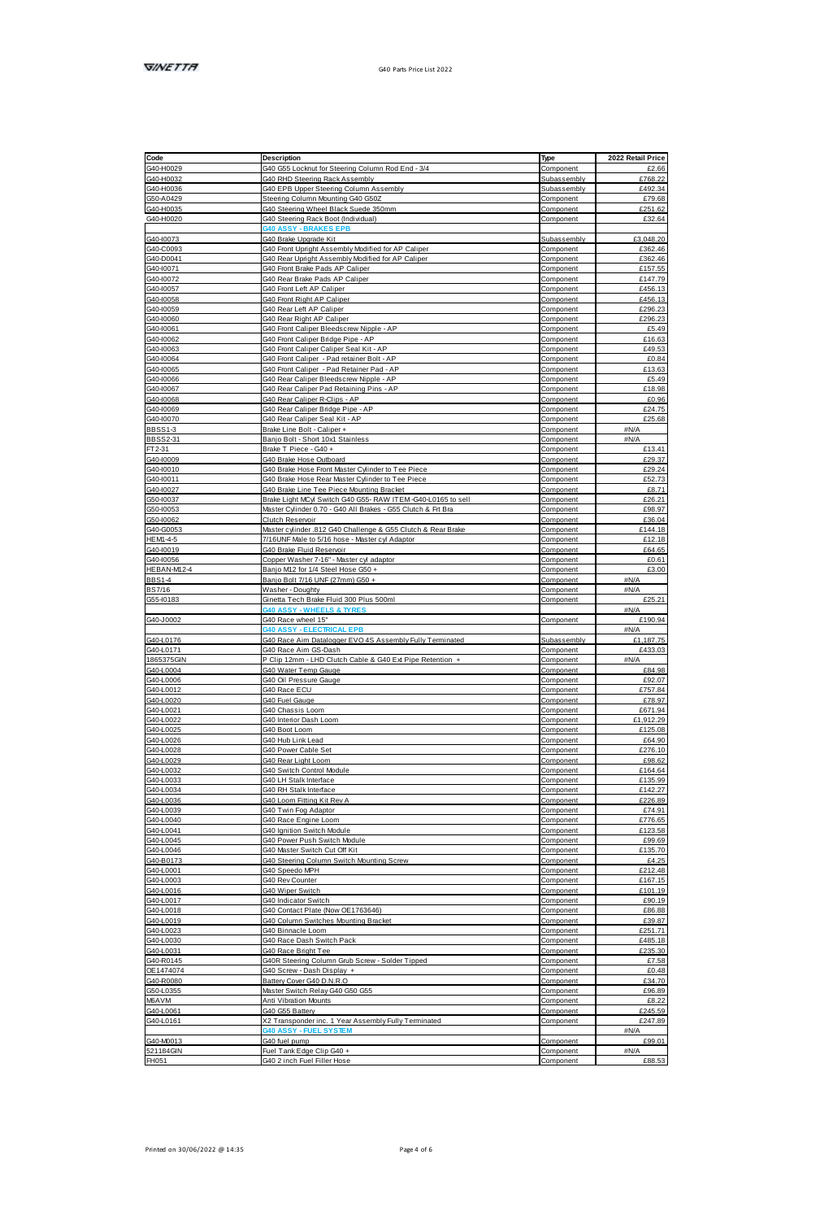| Code                                                                                                                                                                                                                                                                                                                  | Description                                                                           | Type                   | 2022 Retail Price  |
|-----------------------------------------------------------------------------------------------------------------------------------------------------------------------------------------------------------------------------------------------------------------------------------------------------------------------|---------------------------------------------------------------------------------------|------------------------|--------------------|
| G40-H0029                                                                                                                                                                                                                                                                                                             | G40 G55 Locknut for Steering Column Rod End - 3/4                                     | Component              | £2.66              |
| G40-H0032                                                                                                                                                                                                                                                                                                             | G40 RHD Steering Rack Assembly                                                        | Subassembly            | £768.22            |
| G40-H0036<br>G50-A0429                                                                                                                                                                                                                                                                                                | G40 EPB Upper Steering Column Assembly                                                | Subassembly            | £492.34            |
|                                                                                                                                                                                                                                                                                                                       | Steering Column Mounting G40 G50Z                                                     | Component              | <b>£79.68</b>      |
| G40-H0035                                                                                                                                                                                                                                                                                                             | G40 Steering Wheel Black Suede 350mm                                                  | Component              | £251.62            |
| G40-H0020                                                                                                                                                                                                                                                                                                             | G40 Steering Rack Boot (Individual)                                                   | Component              | £32.64             |
|                                                                                                                                                                                                                                                                                                                       | <b>40 ASSY - BRAKES EPB</b>                                                           |                        |                    |
| G40-10073<br>G40-C0093<br>G40-D0041<br>G40-10071                                                                                                                                                                                                                                                                      | G40 Brake Upgrade Kit                                                                 | Subassembly            | £3,048.20          |
|                                                                                                                                                                                                                                                                                                                       | 340 Front Upright Assembly Modified for AP Call                                       | Component              | £382.46            |
|                                                                                                                                                                                                                                                                                                                       | G40 Rear Upright Assembly Modified for AP Caliper                                     | Component              | £382.46            |
|                                                                                                                                                                                                                                                                                                                       | G40 Front Brake Pads AP Caliper                                                       | Component              | £157.55            |
|                                                                                                                                                                                                                                                                                                                       | G40 Rear Brake Pads AP Caliper                                                        | Component              | £147.79            |
| $\frac{0.40 - 0.0057}{0.40 - 0.0058}$ $\frac{0.40 - 0.0058}{0.40 - 0.0068}$ $\frac{0.40 - 0.0068}{0.40 - 0.0068}$ $\frac{0.40 - 0.0068}{0.40 - 0.0068}$ $\frac{0.40 - 0.0068}{0.40 - 0.0068}$ $\frac{0.40 - 0.0068}{0.40 - 0.0068}$ $\frac{0.40 - 0.0068}{0.40 - 0.0068$                                              | G40 Front Left AP Caliper                                                             | Component              | £456.13            |
|                                                                                                                                                                                                                                                                                                                       | G40 Front Right AP Caliper                                                            | Component              | £456.13            |
|                                                                                                                                                                                                                                                                                                                       | G40 Rear Left AP Caliper                                                              | Component              | £298.23            |
|                                                                                                                                                                                                                                                                                                                       | G40 Rear Right AP Caliper                                                             | Component              | £296.23            |
|                                                                                                                                                                                                                                                                                                                       | G40 Front Caliper Bleedscrew Nicole - AP                                              | Component              | £5.49              |
|                                                                                                                                                                                                                                                                                                                       | G40 Front Caliper Bridge Pipe - AP                                                    | Component              | £16.63<br>£49.53   |
|                                                                                                                                                                                                                                                                                                                       | G40 Front Caliper Caliper Seal Kit - AP<br>G40 Front Caliper - Pad retainer Bolt - AP | Component              |                    |
|                                                                                                                                                                                                                                                                                                                       |                                                                                       | Component              | £0.84<br>£13.63    |
|                                                                                                                                                                                                                                                                                                                       | G40 Front Caliper - Pad Retainer Pad - AP                                             | Component              |                    |
|                                                                                                                                                                                                                                                                                                                       | G40 Rear Caliper Bleedscrew Nipple - AP                                               | Component<br>Component | £5.49<br>£18.98    |
|                                                                                                                                                                                                                                                                                                                       | G40 Rear Caliper Pad Retaining Pins - AP<br>G40 Rear Caliner R Clins - AP             | Component              | PD 96              |
|                                                                                                                                                                                                                                                                                                                       |                                                                                       | Component              | 624.75             |
|                                                                                                                                                                                                                                                                                                                       | G40 Rear Caliper Bridge Pipe - AP                                                     |                        | £25.68             |
| <b>BBSS1-3</b>                                                                                                                                                                                                                                                                                                        | G40 Rear Caliper Seal Kit - AP<br>Brake Line Bolt - Caliper +                         | Component              | aN/A               |
| BBSS2-31                                                                                                                                                                                                                                                                                                              | Banjo Bolt - Short 10x1 Stainless                                                     | Component<br>Component | <b>AN/A</b>        |
| FT2-31                                                                                                                                                                                                                                                                                                                | Brake T Piece - G40 +                                                                 | Component              | £13.41             |
| G40-10009                                                                                                                                                                                                                                                                                                             | G40 Brake Hose Outboard                                                               | Component              | £29.37             |
|                                                                                                                                                                                                                                                                                                                       | G40 Brake Hose Front Master Cylinder to Tee Piece                                     | Component              | £29.24             |
|                                                                                                                                                                                                                                                                                                                       | G40 Brake Hose Rear Master Cylinder to Tee Piece                                      | Component              | <b>652.73</b>      |
|                                                                                                                                                                                                                                                                                                                       | G40 Brake Line Tee Piece Mounting Bracket                                             | Component              | £8.71              |
|                                                                                                                                                                                                                                                                                                                       | Brake Light MCyl Switch G40 G55- RAW ITEM-G40-L0165 to sell                           | Component              | £26.21             |
| G40-0009<br>G40-10011<br>G40-10027<br>G50-10037<br>G50-10053<br>G50-10053                                                                                                                                                                                                                                             | Master Cylinder 0.70 - G40 All Brakes - G55 Clutch & Frt Bra                          | Component              | FGR G7             |
|                                                                                                                                                                                                                                                                                                                       | Clutch Reservoir                                                                      | Component              | £36.04             |
|                                                                                                                                                                                                                                                                                                                       | Master cylinder .812 G40 Challenge & G55 Clutch & Rear Brake                          | Component              | £144.18            |
| G40-G0053<br>HEM1-4-5<br>G40-10019                                                                                                                                                                                                                                                                                    | 7/16UNF Male to 5/16 hose - Master cyl Adaptor                                        | Component              | £12.18             |
|                                                                                                                                                                                                                                                                                                                       | G40 Brake Fluid Reservoir                                                             | Component              | FRA RS             |
|                                                                                                                                                                                                                                                                                                                       | Copper Washer 7-16" - Master cyl adaptor                                              | Component              | £0.61              |
| HEBAN-M12-4                                                                                                                                                                                                                                                                                                           | Banio M12 for 1/4 Steel Hose G50 +                                                    | Component              | £3.00              |
|                                                                                                                                                                                                                                                                                                                       | Banio Bolt 7/16 UNF (27mm) G50 +                                                      | Component              | 494/4              |
| BBS14<br>BBS14                                                                                                                                                                                                                                                                                                        | Washer - Doughty                                                                      | Component              | $ABI/\Delta$       |
| G55-10183                                                                                                                                                                                                                                                                                                             | Ginetta Tech Brake Fluid 300 Plus 500ml                                               | Component              | £25.21             |
|                                                                                                                                                                                                                                                                                                                       | <b>0 ASSY - WHEELS &amp; TYRES</b>                                                    |                        | <b>AN/A</b>        |
| G40-J0002                                                                                                                                                                                                                                                                                                             | G40 Race wheel 15"                                                                    | Component              | £190.94            |
|                                                                                                                                                                                                                                                                                                                       | 340 ASSY - ELECTRICAL EPB                                                             |                        | <b>AN/A</b>        |
|                                                                                                                                                                                                                                                                                                                       | G40 Race Aim Datalogger EVO 4S Assembly Fully Terminated                              | Subassembly            | £1.187.75          |
|                                                                                                                                                                                                                                                                                                                       | G40 Race Aim GS-Dash                                                                  | Component              | £433.03            |
| 040-10176<br>040-10171<br>1865375GIN<br>040-10006<br>040-10020<br>040-10020<br>040-10022<br>040-10022<br>040-10022<br>040-10022                                                                                                                                                                                       | P Clip 12mm - LHD Clutch Cable & G40 Ext Pipe Retention +                             | Component              | aN/A               |
|                                                                                                                                                                                                                                                                                                                       | G40 Water Temp Gauge                                                                  | Component              | £84.98             |
|                                                                                                                                                                                                                                                                                                                       | G40 Oil Pressure Gauge                                                                | Component              | £92.07             |
|                                                                                                                                                                                                                                                                                                                       | G40 Race ECU                                                                          | Component              | <b>6757 84</b>     |
|                                                                                                                                                                                                                                                                                                                       | G40 Fuel Gauge                                                                        | Component              | £78.97             |
|                                                                                                                                                                                                                                                                                                                       | G40 Chassis Loom                                                                      | Component              | £671.94            |
|                                                                                                                                                                                                                                                                                                                       | G40 Interior Dash Loom                                                                | Component              | £1 912 29          |
|                                                                                                                                                                                                                                                                                                                       | G40 Boot Loom                                                                         | Component              | £125.08            |
|                                                                                                                                                                                                                                                                                                                       | G40 Hub Link Lead                                                                     | Component              | £64.90             |
|                                                                                                                                                                                                                                                                                                                       | G40 Power Cable Set                                                                   | Component              | £276.10            |
|                                                                                                                                                                                                                                                                                                                       | G40 Rear Light Loom                                                                   | Component              | FOR 62             |
|                                                                                                                                                                                                                                                                                                                       | G40 Switch Control Module                                                             | Component              | £164.64            |
|                                                                                                                                                                                                                                                                                                                       | G40 LH Stalk Interface                                                                | Component              | £135.99            |
|                                                                                                                                                                                                                                                                                                                       | G40 RH Stalk Interface                                                                | Component              | £142.27            |
| G404.0028<br>G404.0029<br>G404.0032<br>G404.0033<br>G404.0034<br>G404.0034                                                                                                                                                                                                                                            | G40 Loom Fitting Kit Rev A                                                            | Component              | £226.89            |
|                                                                                                                                                                                                                                                                                                                       | G40 Twin Fog Adaptor                                                                  | Component              | £74.91             |
|                                                                                                                                                                                                                                                                                                                       | G40 Race Engine Loom                                                                  | Component              | £776.65            |
|                                                                                                                                                                                                                                                                                                                       | G40 Ignition Switch Module                                                            | Component              | £123.58            |
| 04040039<br>04040040<br>04040041<br>04040045                                                                                                                                                                                                                                                                          | G40 Power Push Switch Module                                                          | Component              | £99.69             |
|                                                                                                                                                                                                                                                                                                                       | G40 Master Switch Cut Off Kit                                                         | Component              | £135.70            |
| $\frac{0.40 - 0.0088}{0.40 - 0.0048} \times \frac{0.40 - 0.0048}{0.40 - 0.0017} \times \frac{0.40 - 0.0018}{0.40 - 0.0016} \times \frac{0.40 - 0.0018}{0.40 - 0.0018} \times \frac{0.40 - 0.0018}{0.40 - 0.0018} \times \frac{0.40 - 0.0018}{0.40 - 0.0018} \times \frac{0.40 - 0.0088}{0.40 - 0.0018} \times \frac{$ | G40 Steering Column Switch Mounting Screw                                             | Component              | £4.25              |
|                                                                                                                                                                                                                                                                                                                       | G40 Speedo MPH                                                                        | Component              | £212.48            |
|                                                                                                                                                                                                                                                                                                                       | G40 Rev Counter                                                                       | Component              | £167.15            |
|                                                                                                                                                                                                                                                                                                                       | G40 Wiper Switch                                                                      | Component              | £101.19            |
|                                                                                                                                                                                                                                                                                                                       | G40 Indicator Switch                                                                  | Component              | £90.19             |
|                                                                                                                                                                                                                                                                                                                       | G40 Contact Plate (Now OE1763646)                                                     | Component              | £86.88             |
|                                                                                                                                                                                                                                                                                                                       | G40 Column Switches Mounting Bracket                                                  | Component              | £39.87             |
|                                                                                                                                                                                                                                                                                                                       | G40 Binnacle Loom                                                                     | Component              | £251.71            |
|                                                                                                                                                                                                                                                                                                                       | G40 Race Dash Switch Pack                                                             | Component              | £485.18<br>£235.30 |
|                                                                                                                                                                                                                                                                                                                       | G40 Race Bright Tee                                                                   | Component              | £7.58              |
|                                                                                                                                                                                                                                                                                                                       | G40R Steering Column Grub Screw - Solder Tipped                                       | Component              | £0.48              |
|                                                                                                                                                                                                                                                                                                                       | G40 Screw - Dash Display +                                                            | Component              |                    |
|                                                                                                                                                                                                                                                                                                                       | Battery Cover G40 D.N.R.O<br>Master Switch Relay G40 G50 G55                          | Component<br>Component | £34.70<br>£96.89   |
|                                                                                                                                                                                                                                                                                                                       | Anti Vihration Mounts                                                                 | Component              | <b>68.22</b>       |
|                                                                                                                                                                                                                                                                                                                       |                                                                                       |                        | £245.59            |
|                                                                                                                                                                                                                                                                                                                       | G40 G55 Battery<br>X2 Transponder inc. 1 Year Assembly Fully Terminated               | Component<br>Component | £247.89            |
|                                                                                                                                                                                                                                                                                                                       | - FUEL SYSTE                                                                          |                        | <b>AN/A</b>        |
|                                                                                                                                                                                                                                                                                                                       | G40 fuel pump                                                                         | Component              | £99.01             |
| G40-M0013<br>521184GIN<br>FH051                                                                                                                                                                                                                                                                                       | Fuel Tank Edge Clip G40 +                                                             | Component              | aN/A               |
|                                                                                                                                                                                                                                                                                                                       | G40 2 inch Fuel Filler Hose                                                           | Component              | £88.53             |
|                                                                                                                                                                                                                                                                                                                       |                                                                                       |                        |                    |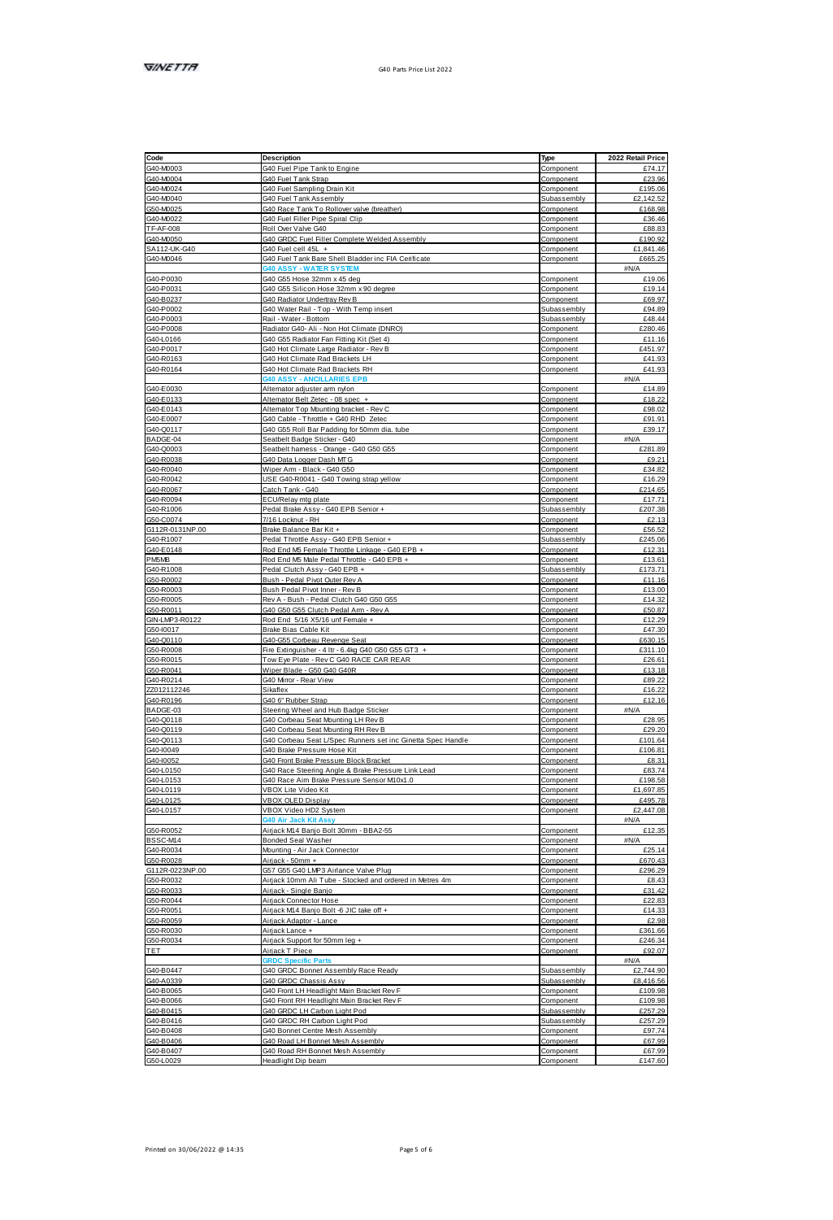| Code<br>G40-M0003<br>G40-M0004<br>G40-M0024<br>G40-M0040                                                                                                  | Description                                                                                      | Type                   | 2022 Retail Price             |
|-----------------------------------------------------------------------------------------------------------------------------------------------------------|--------------------------------------------------------------------------------------------------|------------------------|-------------------------------|
|                                                                                                                                                           | G40 Fuel Pipe Tank to Engine                                                                     | Component              | £74.17                        |
|                                                                                                                                                           | G40 Fuel Tank Strap                                                                              | Component              | £23.96                        |
|                                                                                                                                                           | G40 Fuel Sampling Drain Kit                                                                      | Component              | £195.06                       |
|                                                                                                                                                           | G40 Fuel Tank Assembly                                                                           | Subassembly            | £2,142.52                     |
|                                                                                                                                                           | G40 Race Tank To Rollowr valve (breather)                                                        | Component              | <b>£168.98</b>                |
| G50-M0025<br>G50-M0022<br>TF-AF-008                                                                                                                       | G40 Fuel Filler Pipe Spiral Clip                                                                 | Component              | £36.46                        |
|                                                                                                                                                           | Roll Over Valve G40                                                                              | Component              | £88.83                        |
| 1 PAP 668<br>SA112 UK 640<br>G40 M0046                                                                                                                    | G40 GRDC Fuel Filler Complete Welded Assembly                                                    | Component              | £190.92                       |
|                                                                                                                                                           | G40 Fuel cell 45L +                                                                              | Component              | £1.841.46                     |
|                                                                                                                                                           | G40 Fuel Tank Bare Shell Bladder inc FIA Cerificate                                              | Component              | £665.25                       |
|                                                                                                                                                           | ASSY - WATER SYSTEM                                                                              |                        | <b>AN/A</b>                   |
| G40-P0030<br>G40-P0031                                                                                                                                    | G40 G55 Hose 32mm x 45 deg                                                                       | Component              | £19.06                        |
|                                                                                                                                                           | G40 G55 Silicon Hose 32mm x 90 degree                                                            | Component              | £19.14                        |
|                                                                                                                                                           | G40 Radiator Undertray Rev B                                                                     | Component              | £69.97                        |
|                                                                                                                                                           | G40 Water Rail - Top - With Temp insert                                                          | Subassembly            | £94.89                        |
| 940-P031<br>940-B0237<br>940-P0003<br>940-P0008<br>940-P0017<br>940-R0183<br>940-R0183                                                                    | Rail - Water - Bottom                                                                            | Subassembly            | £48.44                        |
|                                                                                                                                                           | Radiator G40- Ali - Non Hot Climate (DNRO)                                                       | Component              | £280.46                       |
|                                                                                                                                                           | G40 G55 Radiator Fan Fitting Kit (Set 4)                                                         | Component              | £11.16                        |
|                                                                                                                                                           | G40 Hot Climate Large Radiator - Rev B                                                           | Component              | 6451.97                       |
|                                                                                                                                                           | G40 Hot Climate Rad Brackets LH                                                                  | Component              | £41.93                        |
|                                                                                                                                                           | G40 Hot Climate Rad Brackets RH<br>40 ASSY - ANCILLARIES FPR                                     | Component              | £41.93<br>aN/A                |
|                                                                                                                                                           |                                                                                                  |                        |                               |
|                                                                                                                                                           | Alternator adjuster arm nylon                                                                    | Component              | £14.89                        |
|                                                                                                                                                           | Alternator Belt Zetec - 08 spec +                                                                | Component              | £18.22                        |
|                                                                                                                                                           | Altemator Too Mounting bracket - Rey C                                                           | Component              | £98.02                        |
| G40-E0030<br>G40-E0133<br>G40-E0143<br>G40-E0007<br>G40-Q0117                                                                                             | G40 Cable - Throttle + G40 RHD Zetec                                                             | Component              | £91.91                        |
|                                                                                                                                                           | G40 G55 Roll Bar Padding for 50mm dia. tube                                                      | Component              | £39.17                        |
|                                                                                                                                                           | Seathelt Badge Sticker - G40                                                                     | Component              | <b>AN/A</b><br><b>£281.89</b> |
|                                                                                                                                                           | Seathelt hamess - Orange - G40 G50 G55                                                           | Component              | 69.21                         |
|                                                                                                                                                           | G40 Data Logger Dash MTG                                                                         | Component              |                               |
| BADGE-04<br>BADGE-04<br>G40-00003<br>G40-R0040<br>G40-R0042                                                                                               | Wiper Arm - Black - G40 G50                                                                      | Component              | £34.82<br>£16.29              |
|                                                                                                                                                           | USE G40-R0041 - G40 Towing strap yellow                                                          | Component              |                               |
| G40-R0042<br>G40-R0067<br>G40-R0094<br>G60-C0074<br>G112R-0131NP.00<br>G40-R1007                                                                          | Catch Tank - G40                                                                                 | Component              | £214.65                       |
|                                                                                                                                                           | ECU/Relay mtg plate                                                                              | Component              | £17.71                        |
|                                                                                                                                                           | Pedal Brake Assy - G40 EPB Senior +                                                              | Subassembly            | £207.38<br>£2.13              |
|                                                                                                                                                           | 7/16 Locknut - RH                                                                                | Component              |                               |
|                                                                                                                                                           | Brake Balance Bar Kit +                                                                          | Component              | £56.52                        |
|                                                                                                                                                           | Pedal Throttle Assy - G40 EPB Senior +                                                           | Subassembly            | £245.06                       |
| G40-E0148<br>PM6MB                                                                                                                                        | Rod End M5 Female Throttle Linkage - G40 EPB +                                                   | Component              | £12.31<br><b>F13.61</b>       |
| G40-R1008                                                                                                                                                 | Rod End M5 Male Pedal Throttle - G40 EPB +                                                       | Component              |                               |
|                                                                                                                                                           | Pedal Clutch Assv - G40 EPB +                                                                    | Subassembly            | £173.71                       |
|                                                                                                                                                           | Bush - Pedal Pivot Outer Rev A                                                                   | Component              | £11.16<br>£13.00              |
|                                                                                                                                                           | Bush Pedal Pivot Inner - Rev B                                                                   | Component              |                               |
|                                                                                                                                                           | Rev A - Bush - Pedal Clutch G40 G50 G55<br>G40 G50 G55 Clutch Pedal Arm - Rev A                  | Component              | £14.32<br>£50.87              |
| 040-R1008<br>050-R0002<br>050-R0003<br>050-R0005<br>050-R0005<br>050-R00110<br>040-Q0110<br>050-R0008<br>050-R0041<br>050-R0041<br>050-R0041<br>050-R0041 |                                                                                                  | Component              |                               |
|                                                                                                                                                           | Rod End 5/16 X5/16 unf Female +<br>Rrake Rias Cahle Kit                                          | Component              | £12.29<br>647.30              |
|                                                                                                                                                           |                                                                                                  | Component              |                               |
|                                                                                                                                                           | G40-G55 Corbeau Revenge Seat<br>Fire Extinguisher - 4 ltr - 6.4kg G40 G50 G55 GT3 +              | Component              | £630.15<br>£311.10            |
|                                                                                                                                                           | Tow Fve Plate - Rev C G40 RACE CAR REAR                                                          | Component<br>Component | <b>F26.61</b>                 |
|                                                                                                                                                           | Wiper Blade - G50 G40 G40R                                                                       |                        | £13.18                        |
|                                                                                                                                                           | G40 Mirror - Rear View                                                                           | Component              | £89.22                        |
|                                                                                                                                                           | Sikaflex                                                                                         | Component<br>Component | £16.22                        |
| ZZ012112246<br>G40-R0196<br>BADGE-03                                                                                                                      | G40 6" Rubber Strap                                                                              |                        |                               |
|                                                                                                                                                           | Steering Wheel and Hub Badge Sticker                                                             | Component<br>Component | £12.16<br>aN/A                |
|                                                                                                                                                           | G40 Corbeau Seat Mounting LH Rev B                                                               | Component              | <b>£28.95</b>                 |
|                                                                                                                                                           | G40 Corbeau Seat Mounting RH Rev B                                                               | Component              | £29.20                        |
|                                                                                                                                                           | G40 Corbeau Seat L/Spec Runners set inc Ginetta Spec Handle                                      | Component              | £101.64                       |
|                                                                                                                                                           | G40 Brake Pressure Hose Kit                                                                      | Component              | £106.81                       |
| 8ADGE-03<br>G40-Q0118<br>G40-Q0119<br>G40-00113<br>G40-10049                                                                                              | G40 Front Brake Pressure Block Bracket                                                           | Component              | £8.31                         |
|                                                                                                                                                           |                                                                                                  |                        | £83.74                        |
| G404052<br>G4040159<br>G4040153<br>G4040125<br>G4040125                                                                                                   | G40 Race Steering Angle & Brake Pressure Link Lead<br>G40 Race Aim Brake Pressure Sensor M10x1.0 | Component<br>Component | £198.58                       |
|                                                                                                                                                           | VBOX Lite Video Kit                                                                              | Component              | £1,697.85                     |
|                                                                                                                                                           | <b>VBOX OLED Display</b>                                                                         | Component              | £495.78                       |
|                                                                                                                                                           | VBOX Video HD2 System                                                                            | Component              | £2,447.08                     |
|                                                                                                                                                           | 0 Air Jack Kit As                                                                                |                        | #N/A                          |
|                                                                                                                                                           | Airjack M14 Banjo Bolt 30mm - BBA2-55                                                            | Component              | 612.35                        |
| G50-R0052<br>BSSC-M14<br>G40-R0034                                                                                                                        | Bonded Seal Washer                                                                               | Component              | $ABI/\Delta$                  |
|                                                                                                                                                           | Mounting - Air Jack Connector                                                                    | Component              | £25.14                        |
| G50-R0028                                                                                                                                                 | Airjack - 50mm +                                                                                 | Component              | £670.43                       |
| G112R-0223NP.00                                                                                                                                           | G57 G55 G40 LMP3 Airlance Valve Plug                                                             | Component              | £296.29                       |
| G50-R0032                                                                                                                                                 | Airjack 10mm Ali Tube - Stocked and ordered in Metres 4m                                         | Component              | £8.43                         |
| G50-R0033                                                                                                                                                 | Airiack - Single Banio                                                                           | Component              | £31.42                        |
|                                                                                                                                                           | Airjack Connector Hose                                                                           | Component              | £22.83                        |
| G50-R0033<br>G50-R0044<br>G50-R0051<br>G50-R0030<br>G50-R0034<br>TET                                                                                      | Airjack M14 Banjo Bolt -6 JIC take off +                                                         | Component              | 614.33                        |
|                                                                                                                                                           | Airlack Adaptor - Lance                                                                          | Component              | £2.98                         |
|                                                                                                                                                           | Airjack Lance +                                                                                  | Component              | £381.66                       |
|                                                                                                                                                           | Airjack Support for 50mm leg +                                                                   | Component              | F248.34                       |
|                                                                                                                                                           | Airack T Piece                                                                                   | Component              | £92.07                        |
|                                                                                                                                                           | <b>IRDC Specific Part</b>                                                                        |                        | aN/A                          |
|                                                                                                                                                           | G40 GRDC Bonnet Assembly Race Ready                                                              | Subassembly            | £2,744.90                     |
| G40-B0447<br>G40-A0339<br>G40-B0065                                                                                                                       | G40 GRDC Chassis Assy                                                                            | Subassembly            | £8.416.56                     |
|                                                                                                                                                           | G40 Front LH Headlight Main Bracket Rev F                                                        | Component              | £109.98                       |
|                                                                                                                                                           | G40 Front RH Headlight Main Bracket Rev F                                                        | Component              | £109.98                       |
|                                                                                                                                                           | G40 GRDC LH Carbon Light Pod                                                                     | Subassembly            | 6957.99                       |
|                                                                                                                                                           | G40 GRDC RH Carbon Light Pod                                                                     | Subassembly            | 6257.29                       |
|                                                                                                                                                           | G40 Bonnet Centre Mesh Assembly                                                                  | Component              | £97.74                        |
|                                                                                                                                                           |                                                                                                  |                        |                               |
|                                                                                                                                                           | G40 Road LH Bonnet Mesh Assembly                                                                 | Component              | £67.99                        |
| G40-80065<br>G40-80066<br>G40-80416<br>G40-80408<br>G40-80408<br>G40-B0407<br>G50-L0029                                                                   | G40 Road RH Bonnet Mesh Assembly                                                                 | Component              | £67.99<br>£147.60             |